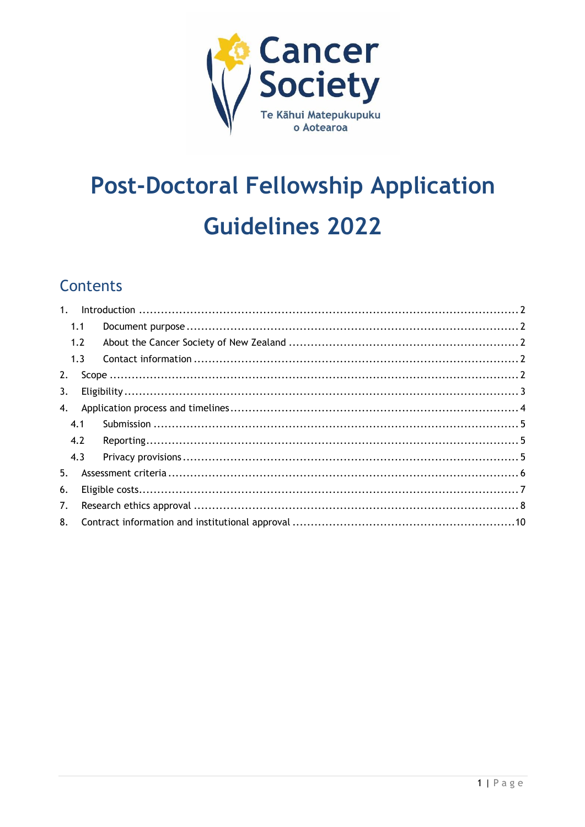

# **Post-Doctoral Fellowship Application Guidelines 2022**

#### **Contents**

| 1 <sub>1</sub> |     |  |  |  |  |
|----------------|-----|--|--|--|--|
|                | 1.1 |  |  |  |  |
|                | 1.2 |  |  |  |  |
|                | 1.3 |  |  |  |  |
| 2.             |     |  |  |  |  |
| 3.             |     |  |  |  |  |
| 4.             |     |  |  |  |  |
|                | 4.1 |  |  |  |  |
|                | 4.2 |  |  |  |  |
|                | 4.3 |  |  |  |  |
| 5.             |     |  |  |  |  |
| 6.             |     |  |  |  |  |
| 7.             |     |  |  |  |  |
| 8.             |     |  |  |  |  |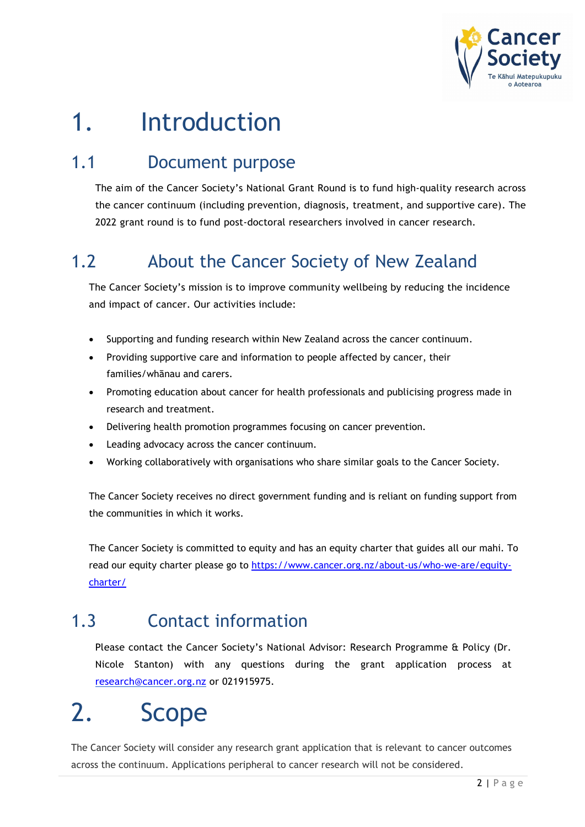

## <span id="page-1-0"></span>1. Introduction

### <span id="page-1-1"></span>1.1 Document purpose

The aim of the Cancer Society's National Grant Round is to fund high-quality research across the cancer continuum (including prevention, diagnosis, treatment, and supportive care). The 2022 grant round is to fund post-doctoral researchers involved in cancer research.

### <span id="page-1-2"></span>1.2 About the Cancer Society of New Zealand

The Cancer Society's mission is to improve community wellbeing by reducing the incidence and impact of cancer. Our activities include:

- Supporting and funding research within New Zealand across the cancer continuum.
- Providing supportive care and information to people affected by cancer, their families/whānau and carers.
- Promoting education about cancer for health professionals and publicising progress made in research and treatment.
- Delivering health promotion programmes focusing on cancer prevention.
- Leading advocacy across the cancer continuum.
- Working collaboratively with organisations who share similar goals to the Cancer Society.

The Cancer Society receives no direct government funding and is reliant on funding support from the communities in which it works.

The Cancer Society is committed to equity and has an equity charter that guides all our mahi. To read our equity charter please go to [https://www.cancer.org.nz/about-us/who-we-are/equity](https://www.cancer.org.nz/about-us/who-we-are/equity-charter/)[charter/](https://www.cancer.org.nz/about-us/who-we-are/equity-charter/)

### <span id="page-1-3"></span>1.3 Contact information

Please contact the Cancer Society's National Advisor: Research Programme & Policy (Dr. Nicole Stanton) with any questions during the grant application process at [research@cancer.org.nz](mailto:research@cancer.org.nz) or 021915975.

## <span id="page-1-4"></span>2. Scope

The Cancer Society will consider any research grant application that is relevant to cancer outcomes across the continuum. Applications peripheral to cancer research will not be considered.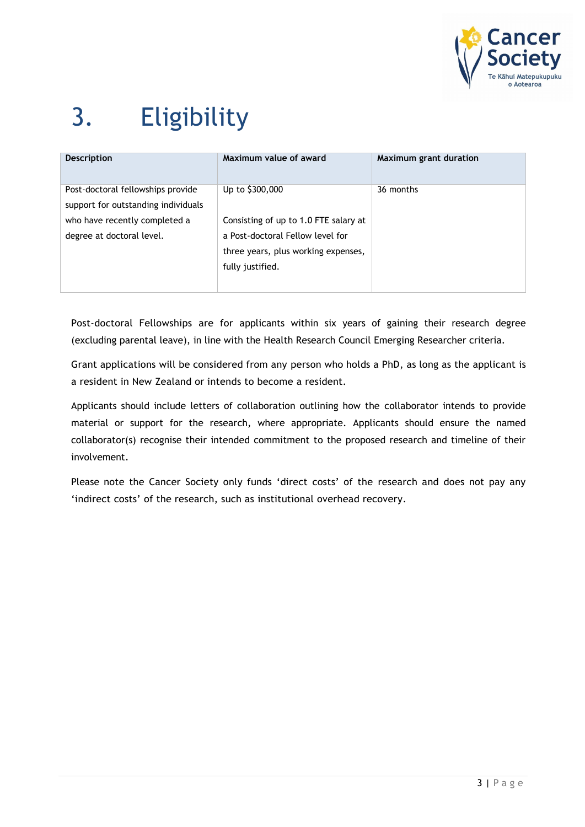

# <span id="page-2-0"></span>3. Eligibility

| <b>Description</b>                                                       | Maximum value of award                                                                                                               | Maximum grant duration |
|--------------------------------------------------------------------------|--------------------------------------------------------------------------------------------------------------------------------------|------------------------|
| Post-doctoral fellowships provide<br>support for outstanding individuals | Up to \$300,000                                                                                                                      | 36 months              |
| who have recently completed a<br>degree at doctoral level.               | Consisting of up to 1.0 FTE salary at<br>a Post-doctoral Fellow level for<br>three years, plus working expenses,<br>fully justified. |                        |

Post-doctoral Fellowships are for applicants within six years of gaining their research degree (excluding parental leave), in line with the Health Research Council Emerging Researcher criteria.

Grant applications will be considered from any person who holds a PhD, as long as the applicant is a resident in New Zealand or intends to become a resident.

Applicants should include letters of collaboration outlining how the collaborator intends to provide material or support for the research, where appropriate. Applicants should ensure the named collaborator(s) recognise their intended commitment to the proposed research and timeline of their involvement.

Please note the Cancer Society only funds 'direct costs' of the research and does not pay any 'indirect costs' of the research, such as institutional overhead recovery.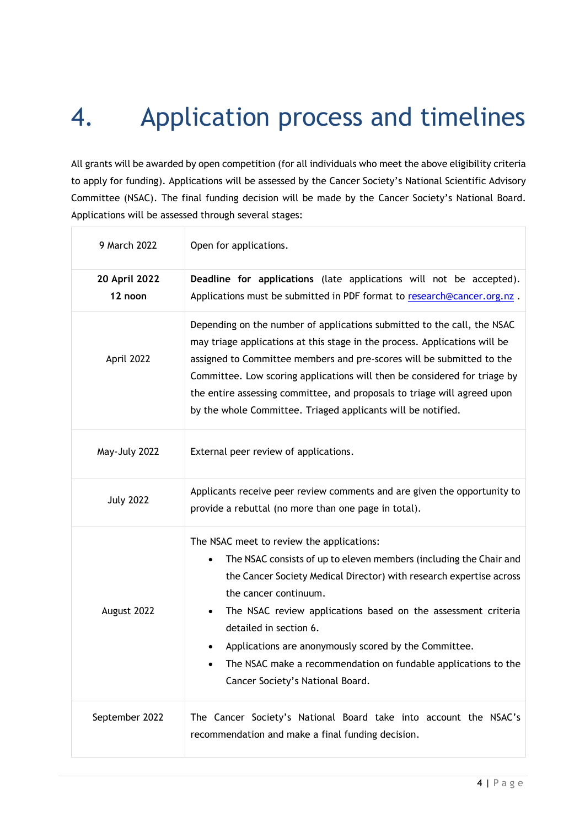## <span id="page-3-0"></span>4. Application process and timelines

All grants will be awarded by open competition (for all individuals who meet the above eligibility criteria to apply for funding). Applications will be assessed by the Cancer Society's National Scientific Advisory Committee (NSAC). The final funding decision will be made by the Cancer Society's National Board. Applications will be assessed through several stages:

| 9 March 2022             | Open for applications.                                                                                                                                                                                                                                                                                                                                                                                                                                                    |  |  |  |
|--------------------------|---------------------------------------------------------------------------------------------------------------------------------------------------------------------------------------------------------------------------------------------------------------------------------------------------------------------------------------------------------------------------------------------------------------------------------------------------------------------------|--|--|--|
| 20 April 2022<br>12 noon | Deadline for applications (late applications will not be accepted).<br>Applications must be submitted in PDF format to research@cancer.org.nz.                                                                                                                                                                                                                                                                                                                            |  |  |  |
| April 2022               | Depending on the number of applications submitted to the call, the NSAC<br>may triage applications at this stage in the process. Applications will be<br>assigned to Committee members and pre-scores will be submitted to the<br>Committee. Low scoring applications will then be considered for triage by<br>the entire assessing committee, and proposals to triage will agreed upon<br>by the whole Committee. Triaged applicants will be notified.                   |  |  |  |
| May-July 2022            | External peer review of applications.                                                                                                                                                                                                                                                                                                                                                                                                                                     |  |  |  |
| <b>July 2022</b>         | Applicants receive peer review comments and are given the opportunity to<br>provide a rebuttal (no more than one page in total).                                                                                                                                                                                                                                                                                                                                          |  |  |  |
| August 2022              | The NSAC meet to review the applications:<br>The NSAC consists of up to eleven members (including the Chair and<br>the Cancer Society Medical Director) with research expertise across<br>the cancer continuum.<br>The NSAC review applications based on the assessment criteria<br>detailed in section 6.<br>Applications are anonymously scored by the Committee.<br>The NSAC make a recommendation on fundable applications to the<br>Cancer Society's National Board. |  |  |  |
| September 2022           | The Cancer Society's National Board take into account the NSAC's<br>recommendation and make a final funding decision.                                                                                                                                                                                                                                                                                                                                                     |  |  |  |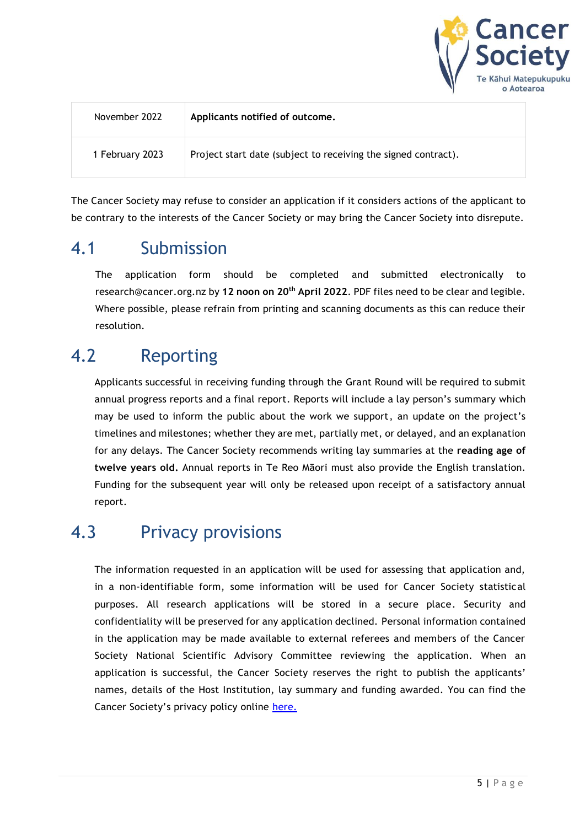

| November 2022   | Applicants notified of outcome.                                |
|-----------------|----------------------------------------------------------------|
| 1 February 2023 | Project start date (subject to receiving the signed contract). |

The Cancer Society may refuse to consider an application if it considers actions of the applicant to be contrary to the interests of the Cancer Society or may bring the Cancer Society into disrepute.

#### <span id="page-4-0"></span>4.1 Submission

The application form should be completed and submitted electronically to [research@cancer.org.nz](mailto:research@cancer.org.nz) by **12 noon on 20th April 2022**. PDF files need to be clear and legible. Where possible, please refrain from printing and scanning documents as this can reduce their resolution.

#### <span id="page-4-1"></span>4.2 Reporting

Applicants successful in receiving funding through the Grant Round will be required to submit annual progress reports and a final report. Reports will include a lay person's summary which may be used to inform the public about the work we support, an update on the project's timelines and milestones; whether they are met, partially met, or delayed, and an explanation for any delays. The Cancer Society recommends writing lay summaries at the **reading age of twelve years old.** Annual reports in Te Reo Māori must also provide the English translation. Funding for the subsequent year will only be released upon receipt of a satisfactory annual report.

#### <span id="page-4-2"></span>4.3 Privacy provisions

The information requested in an application will be used for assessing that application and, in a non-identifiable form, some information will be used for Cancer Society statistical purposes. All research applications will be stored in a secure place. Security and confidentiality will be preserved for any application declined. Personal information contained in the application may be made available to external referees and members of the Cancer Society National Scientific Advisory Committee reviewing the application. When an application is successful, the Cancer Society reserves the right to publish the applicants' names, details of the Host Institution, lay summary and funding awarded. You can find the Cancer Society's privacy policy online [here.](http://www.cancer.org.nz/privacy)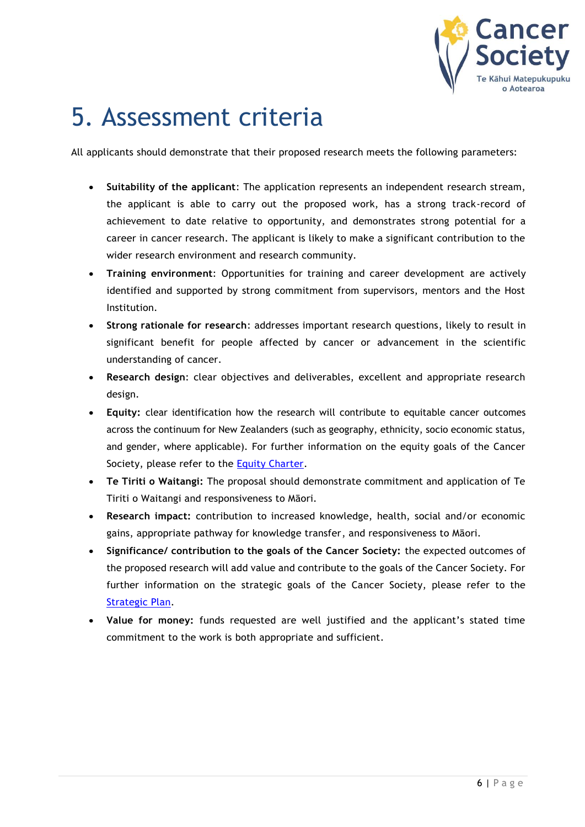

### <span id="page-5-0"></span>5. Assessment criteria

All applicants should demonstrate that their proposed research meets the following parameters:

- **Suitability of the applicant**: The application represents an independent research stream, the applicant is able to carry out the proposed work, has a strong track-record of achievement to date relative to opportunity, and demonstrates strong potential for a career in cancer research. The applicant is likely to make a significant contribution to the wider research environment and research community.
- **Training environment**: Opportunities for training and career development are actively identified and supported by strong commitment from supervisors, mentors and the Host Institution.
- **Strong rationale for research**: addresses important research questions, likely to result in significant benefit for people affected by cancer or advancement in the scientific understanding of cancer.
- **Research design**: clear objectives and deliverables, excellent and appropriate research design.
- **Equity:** clear identification how the research will contribute to equitable cancer outcomes across the continuum for New Zealanders (such as geography, ethnicity, socio economic status, and gender, where applicable). For further information on the equity goals of the Cancer Society, please refer to the [Equity Charter.](https://www.cancer.org.nz/about-us/who-we-are/equity-charter/)
- **Te Tiriti o Waitangi:** The proposal should demonstrate commitment and application of Te Tiriti o Waitangi and responsiveness to Māori.
- **Research impact:** contribution to increased knowledge, health, social and/or economic gains, appropriate pathway for knowledge transfer, and responsiveness to Māori.
- **Significance/ contribution to the goals of the Cancer Society:** the expected outcomes of the proposed research will add value and contribute to the goals of the Cancer Society. For further information on the strategic goals of the Cancer Society, please refer to the [Strategic Plan.](https://www.cancer.org.nz/about-us/who-we-are/strategic-plan/)
- **Value for money:** funds requested are well justified and the applicant's stated time commitment to the work is both appropriate and sufficient.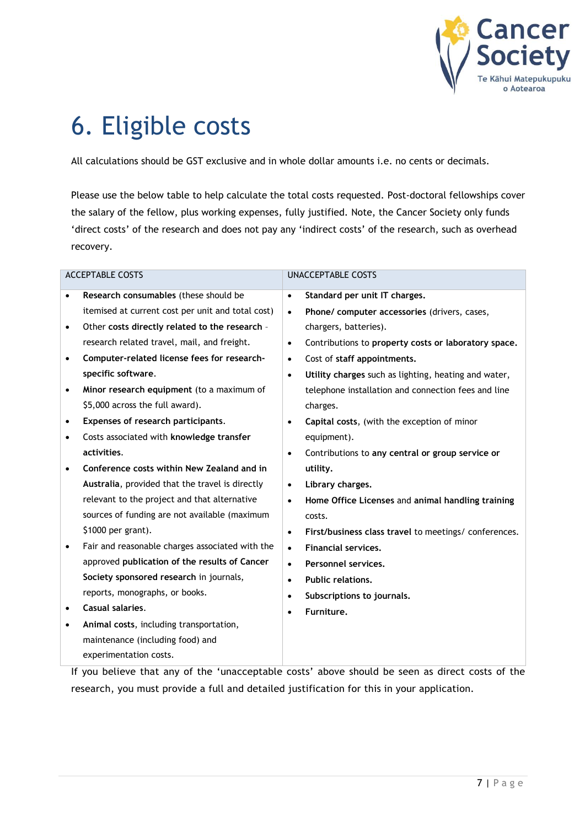

### <span id="page-6-0"></span>6. Eligible costs

All calculations should be GST exclusive and in whole dollar amounts i.e. no cents or decimals.

Please use the below table to help calculate the total costs requested. Post-doctoral fellowships cover the salary of the fellow, plus working expenses, fully justified. Note, the Cancer Society only funds 'direct costs' of the research and does not pay any 'indirect costs' of the research, such as overhead recovery.

| <b>ACCEPTABLE COSTS</b> |                                                   | <b>UNACCEPTABLE COSTS</b> |                                                       |  |
|-------------------------|---------------------------------------------------|---------------------------|-------------------------------------------------------|--|
| $\bullet$               | Research consumables (these should be             | $\bullet$                 | Standard per unit IT charges.                         |  |
|                         | itemised at current cost per unit and total cost) | $\bullet$                 | Phone/ computer accessories (drivers, cases,          |  |
| ٠                       | Other costs directly related to the research -    |                           | chargers, batteries).                                 |  |
|                         | research related travel, mail, and freight.       | $\bullet$                 | Contributions to property costs or laboratory space.  |  |
| ٠                       | Computer-related license fees for research-       | $\bullet$                 | Cost of staff appointments.                           |  |
|                         | specific software.                                | $\bullet$                 | Utility charges such as lighting, heating and water,  |  |
| $\bullet$               | Minor research equipment (to a maximum of         |                           | telephone installation and connection fees and line   |  |
|                         | \$5,000 across the full award).                   |                           | charges.                                              |  |
| ٠                       | Expenses of research participants.                | $\bullet$                 | Capital costs, (with the exception of minor           |  |
| $\bullet$               | Costs associated with knowledge transfer          |                           | equipment).                                           |  |
|                         | activities.                                       | $\bullet$                 | Contributions to any central or group service or      |  |
| $\bullet$               | Conference costs within New Zealand and in        |                           | utility.                                              |  |
|                         | Australia, provided that the travel is directly   | $\bullet$                 | Library charges.                                      |  |
|                         | relevant to the project and that alternative      | $\bullet$                 | Home Office Licenses and animal handling training     |  |
|                         | sources of funding are not available (maximum     |                           | costs.                                                |  |
|                         | \$1000 per grant).                                | $\bullet$                 | First/business class travel to meetings/ conferences. |  |
| ٠                       | Fair and reasonable charges associated with the   | $\bullet$                 | <b>Financial services.</b>                            |  |
|                         | approved publication of the results of Cancer     | $\bullet$                 | Personnel services.                                   |  |
|                         | Society sponsored research in journals,           | $\bullet$                 | <b>Public relations.</b>                              |  |
|                         | reports, monographs, or books.                    | $\bullet$                 | Subscriptions to journals.                            |  |
| ٠                       | Casual salaries.                                  | $\bullet$                 | Furniture.                                            |  |
| ٠                       | Animal costs, including transportation,           |                           |                                                       |  |
|                         | maintenance (including food) and                  |                           |                                                       |  |
|                         | experimentation costs.                            |                           |                                                       |  |

If you believe that any of the 'unacceptable costs' above should be seen as direct costs of the research, you must provide a full and detailed justification for this in your application.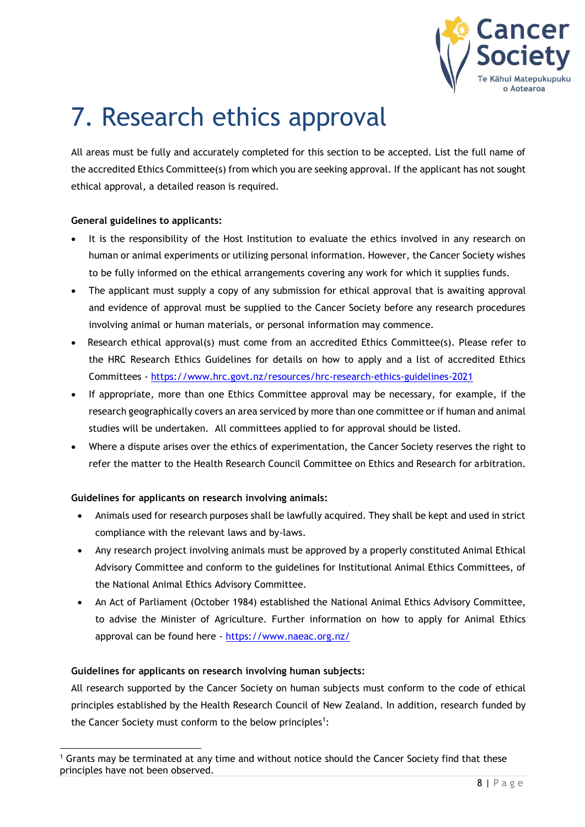

## <span id="page-7-0"></span>7. Research ethics approval

All areas must be fully and accurately completed for this section to be accepted. List the full name of the accredited Ethics Committee(s) from which you are seeking approval. If the applicant has not sought ethical approval, a detailed reason is required.

#### **General guidelines to applicants:**

- It is the responsibility of the Host Institution to evaluate the ethics involved in any research on human or animal experiments or utilizing personal information. However, the Cancer Society wishes to be fully informed on the ethical arrangements covering any work for which it supplies funds.
- The applicant must supply a copy of any submission for ethical approval that is awaiting approval and evidence of approval must be supplied to the Cancer Society before any research procedures involving animal or human materials, or personal information may commence.
- Research ethical approval(s) must come from an accredited Ethics Committee(s). Please refer to the HRC Research Ethics Guidelines for details on how to apply and a list of accredited Ethics Committees - <https://www.hrc.govt.nz/resources/hrc-research-ethics-guidelines-2021>
- If appropriate, more than one Ethics Committee approval may be necessary, for example, if the research geographically covers an area serviced by more than one committee or if human and animal studies will be undertaken. All committees applied to for approval should be listed.
- Where a dispute arises over the ethics of experimentation, the Cancer Society reserves the right to refer the matter to the Health Research Council Committee on Ethics and Research for arbitration.

#### **Guidelines for applicants on research involving animals:**

- Animals used for research purposes shall be lawfully acquired. They shall be kept and used in strict compliance with the relevant laws and by-laws.
- Any research project involving animals must be approved by a properly constituted Animal Ethical Advisory Committee and conform to the guidelines for Institutional Animal Ethics Committees, of the National Animal Ethics Advisory Committee.
- An Act of Parliament (October 1984) established the National Animal Ethics Advisory Committee, to advise the Minister of Agriculture. Further information on how to apply for Animal Ethics approval can be found here - <https://www.naeac.org.nz/>

#### **Guidelines for applicants on research involving human subjects:**

All research supported by the Cancer Society on human subjects must conform to the code of ethical principles established by the Health Research Council of New Zealand. In addition, research funded by the Cancer Society must conform to the below principles<sup>1</sup>:

 $1$  Grants may be terminated at any time and without notice should the Cancer Society find that these principles have not been observed.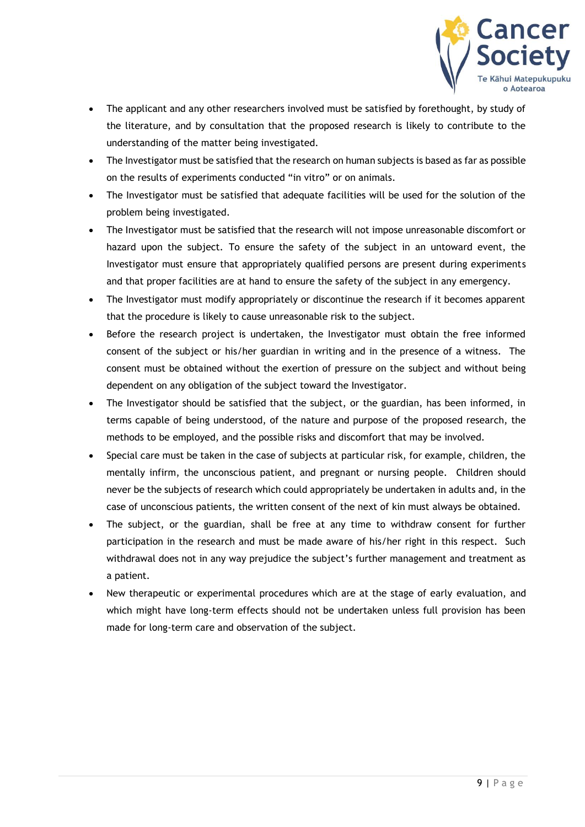

- The applicant and any other researchers involved must be satisfied by forethought, by study of the literature, and by consultation that the proposed research is likely to contribute to the understanding of the matter being investigated.
- The Investigator must be satisfied that the research on human subjects is based as far as possible on the results of experiments conducted "in vitro" or on animals.
- The Investigator must be satisfied that adequate facilities will be used for the solution of the problem being investigated.
- The Investigator must be satisfied that the research will not impose unreasonable discomfort or hazard upon the subject. To ensure the safety of the subject in an untoward event, the Investigator must ensure that appropriately qualified persons are present during experiments and that proper facilities are at hand to ensure the safety of the subject in any emergency.
- The Investigator must modify appropriately or discontinue the research if it becomes apparent that the procedure is likely to cause unreasonable risk to the subject.
- Before the research project is undertaken, the Investigator must obtain the free informed consent of the subject or his/her guardian in writing and in the presence of a witness. The consent must be obtained without the exertion of pressure on the subject and without being dependent on any obligation of the subject toward the Investigator.
- The Investigator should be satisfied that the subject, or the guardian, has been informed, in terms capable of being understood, of the nature and purpose of the proposed research, the methods to be employed, and the possible risks and discomfort that may be involved.
- Special care must be taken in the case of subjects at particular risk, for example, children, the mentally infirm, the unconscious patient, and pregnant or nursing people. Children should never be the subjects of research which could appropriately be undertaken in adults and, in the case of unconscious patients, the written consent of the next of kin must always be obtained.
- The subject, or the guardian, shall be free at any time to withdraw consent for further participation in the research and must be made aware of his/her right in this respect. Such withdrawal does not in any way prejudice the subject's further management and treatment as a patient.
- New therapeutic or experimental procedures which are at the stage of early evaluation, and which might have long-term effects should not be undertaken unless full provision has been made for long-term care and observation of the subject.